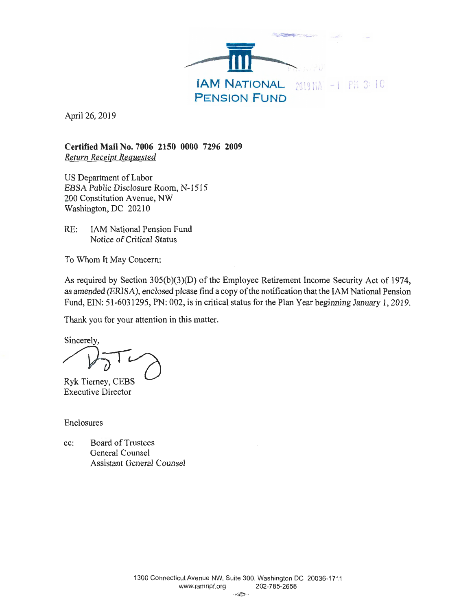

April 26, 2019

**Certified Mail No. 7006 2150 0000 7296 2009**  *Return Receipt Requested* 

US Department of Labor EBSA Public Disclosure Room, N-1515 200 Constitution Avenue, NW Washington, DC 20210

RE: JAM National Pension Fund Notice of Critical Status

To Whom It May Concern:

As required by Section 305(b)(3)(D) of the Employee Retirement Income Security Act of 1974, as amended (ERISA), enclosed please find a copy of the notification that the 1AM National Pension Fund, EIN: 51-6031295, PN: 002, is in critical status for the Plan Year beginning January 1, 2019.

Thank you for your attention in this matter.

Sincerely,

Ryk Tierney, CEBS Executive Director

Enclosures

cc: Board of Trustees General Counsel Assistant General Counsel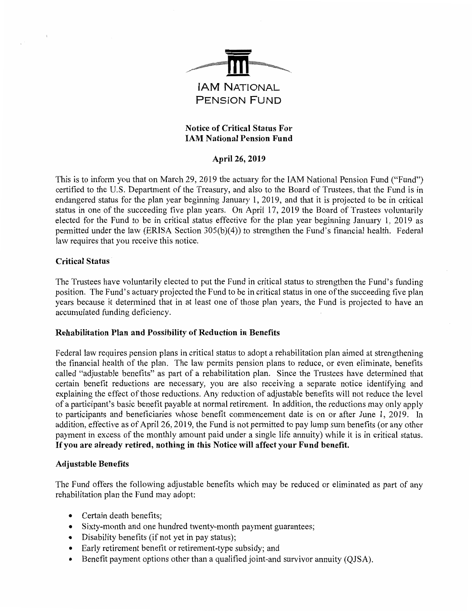

# **Notice of Critical Status For 1AM National Pension Fund**

## **April 26, 2019**

This is to inform you that on March 29, 2019 the actuary for the IAM National Pension Fund ("Fund") certified to the U.S. Department of the Treasury, and also to the Board of Trustees, that the Fund is in endangered status for the plan year beginning January 1, 2019, and that it is projected to be in critical status in one of the succeeding five plan years. On April 17, 2019 the Board of Trustees voluntarily elected for the Fund to be in critical status effective for the plan year beginning January 1, 2019 as permitted under the law (BRISA Section 305(b)(4)) to strengthen the Fund's financial health. Federal law requires that you receive this notice.

## **Critical Status**

The Trustees have voluntarily elected to put the Fund in critical status to strengthen the Fund's funding position. The Fund's actuary projected the Fund to be in critical status in one of the succeeding five plan years because it determined that in at least one of those plan years, the Fund is projected to have an accumulated funding deficiency.

### **Rehabilitation Plan and Possibility of Reduction in Benefits**

Federal law requires pension plans in critical status to adopt a rehabilitation plan aimed at strengthening the financial health of the plan. The law permits pension plans to reduce, or even eliminate, benefits called "adjustable benefits" as part of a rehabilitation plan. Since the Trustees have determined that certain benefit reductions are necessary, you are also receiving a separate notice identifying and explaining the effect of those reductions. Any reduction of adjustable benefits will not reduce the level of a participant's basic benefit payable at normal retirement. In addition, the reductions may only apply to participants and beneficiaries whose benefit commencement date is on or after June 1, 2019. In addition, effective as of April 26, 2019, the Fund is not permitted to pay lump sum benefits (or any other payment in excess of the monthly amount paid under a single life annuity) while it is in critical status. **If you are already retired, nothing in this Notice will affect your Fund benefit.** 

### **Adjustable Benefits**

The Fund offers the following adjustable benefits which may be reduced or eliminated as part of any rehabilitation plan the Fund may adopt:

- Certain death benefits;
- Sixty-month and one hundred twenty-month payment guarantees;
- Disability benefits (if not yet in pay status);
- Early retirement benefit or retirement-type subsidy; and
- Benefit payment options other than a qualified joint-and survivor annuity (QJSA).